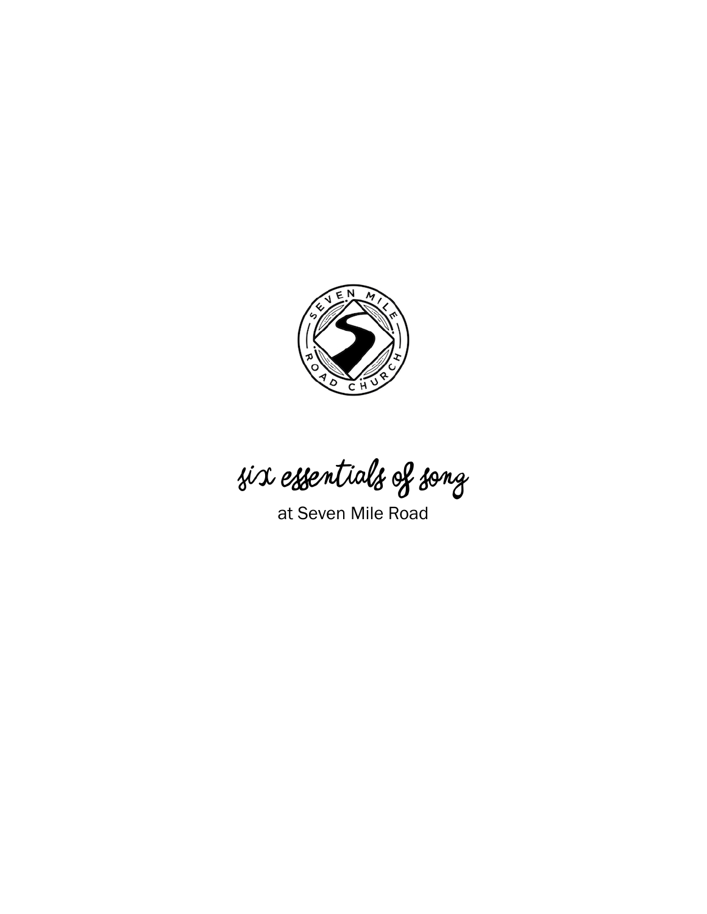

Six essentials of song

at Seven Mile Road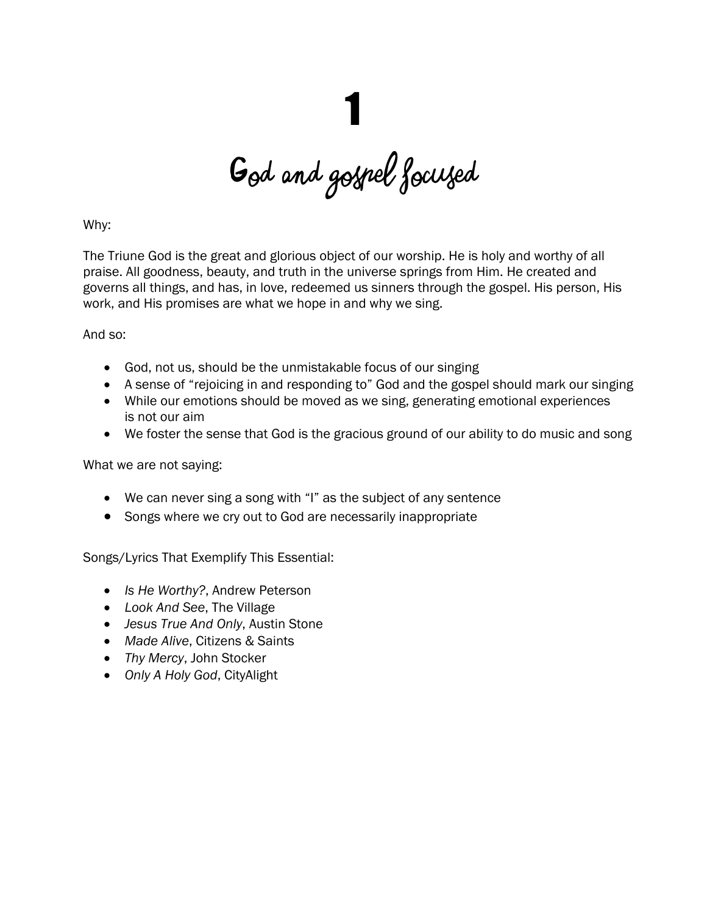God and gospel focused

Why:

The Triune God is the great and glorious object of our worship. He is holy and worthy of all praise. All goodness, beauty, and truth in the universe springs from Him. He created and governs all things, and has, in love, redeemed us sinners through the gospel. His person, His work, and His promises are what we hope in and why we sing.

### And so:

- God, not us, should be the unmistakable focus of our singing
- A sense of "rejoicing in and responding to" God and the gospel should mark our singing
- While our emotions should be moved as we sing, generating emotional experiences is not our aim
- We foster the sense that God is the gracious ground of our ability to do music and song

What we are not saying:

- We can never sing a song with "I" as the subject of any sentence
- Songs where we cry out to God are necessarily inappropriate

- *Is He Worthy?*, Andrew Peterson
- *Look And See*, The Village
- *Jesus True And Only*, Austin Stone
- *Made Alive*, Citizens & Saints
- *Thy Mercy*, John Stocker
- *Only A Holy God*, CityAlight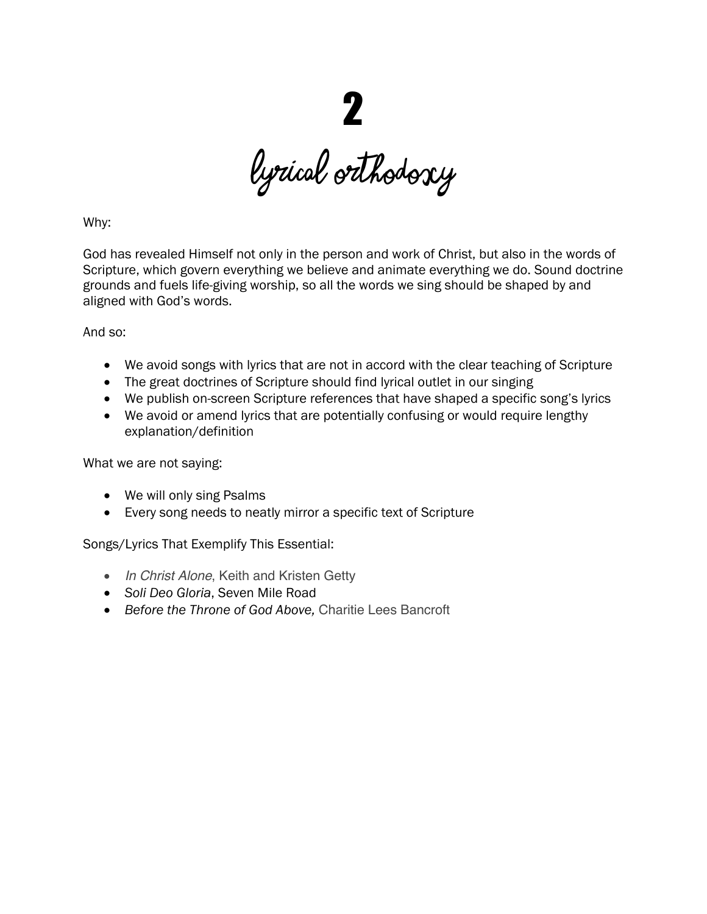LYRICAL ORTHODOXY

Why:

God has revealed Himself not only in the person and work of Christ, but also in the words of Scripture, which govern everything we believe and animate everything we do. Sound doctrine grounds and fuels life-giving worship, so all the words we sing should be shaped by and aligned with God's words.

### And so:

- We avoid songs with lyrics that are not in accord with the clear teaching of Scripture
- The great doctrines of Scripture should find lyrical outlet in our singing
- We publish on-screen Scripture references that have shaped a specific song's lyrics
- We avoid or amend lyrics that are potentially confusing or would require lengthy explanation/definition

What we are not saying:

- We will only sing Psalms
- Every song needs to neatly mirror a specific text of Scripture

- *In Christ Alone*, Keith and Kristen Getty
- *Soli Deo Gloria*, Seven Mile Road
- *Before the Throne of God Above,* Charitie Lees Bancroft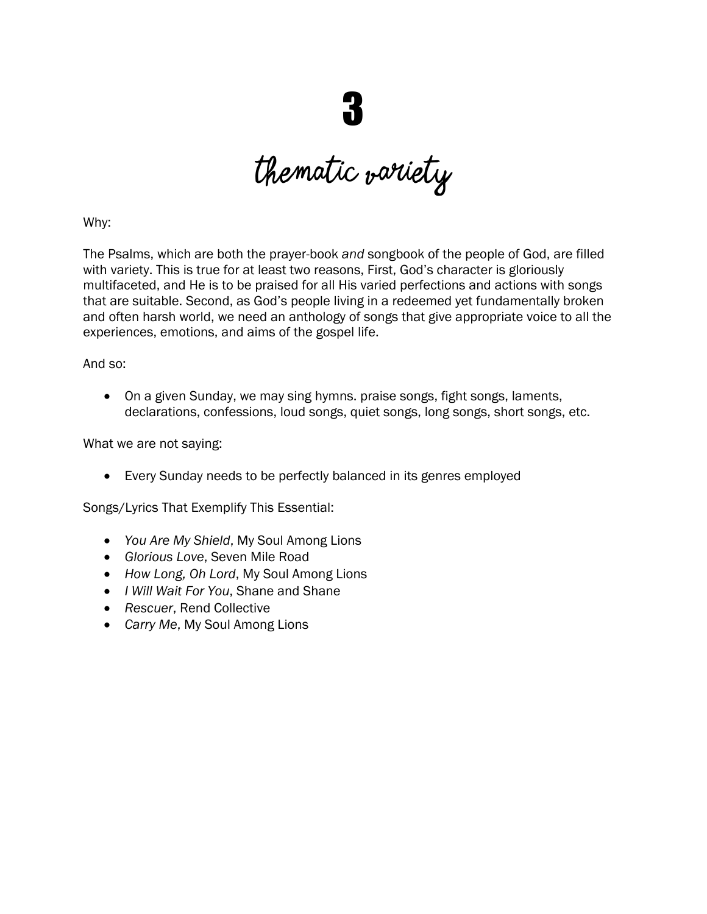thematic variety

Why:

The Psalms, which are both the prayer-book *and* songbook of the people of God, are filled with variety. This is true for at least two reasons, First, God's character is gloriously multifaceted, and He is to be praised for all His varied perfections and actions with songs that are suitable. Second, as God's people living in a redeemed yet fundamentally broken and often harsh world, we need an anthology of songs that give appropriate voice to all the experiences, emotions, and aims of the gospel life.

And so:

• On a given Sunday, we may sing hymns. praise songs, fight songs, laments, declarations, confessions, loud songs, quiet songs, long songs, short songs, etc.

What we are not saying:

• Every Sunday needs to be perfectly balanced in its genres employed

- *You Are My Shield*, My Soul Among Lions
- *Glorious Love*, Seven Mile Road
- *How Long, Oh Lord*, My Soul Among Lions
- *I Will Wait For You*, Shane and Shane
- *Rescuer*, Rend Collective
- *Carry Me*, My Soul Among Lions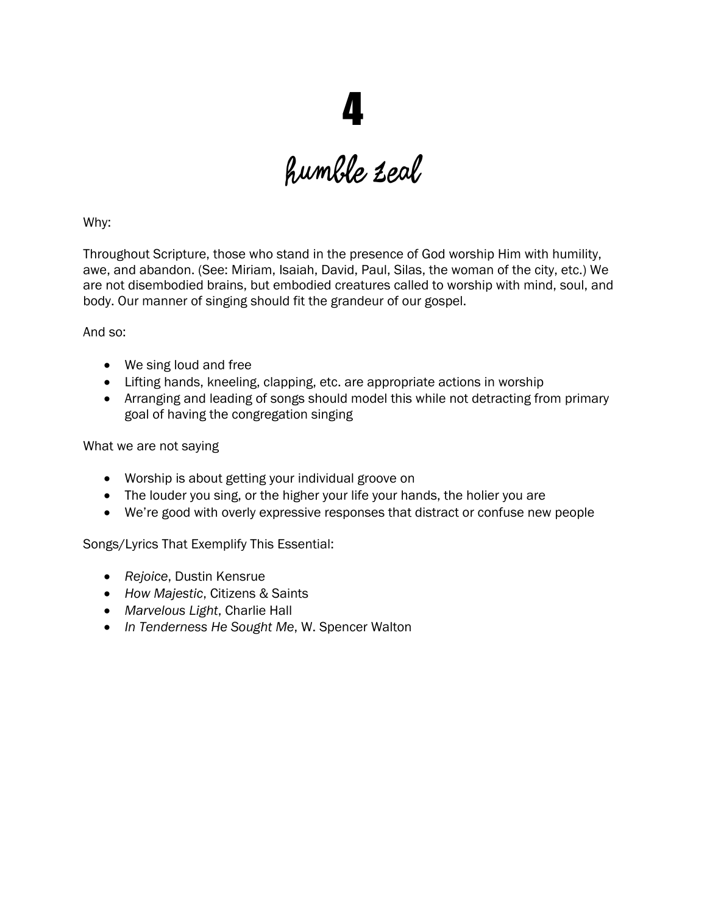humble zeal

Why:

Throughout Scripture, those who stand in the presence of God worship Him with humility, awe, and abandon. (See: Miriam, Isaiah, David, Paul, Silas, the woman of the city, etc.) We are not disembodied brains, but embodied creatures called to worship with mind, soul, and body. Our manner of singing should fit the grandeur of our gospel.

And so:

- We sing loud and free
- Lifting hands, kneeling, clapping, etc. are appropriate actions in worship
- Arranging and leading of songs should model this while not detracting from primary goal of having the congregation singing

What we are not saying

- Worship is about getting your individual groove on
- The louder you sing, or the higher your life your hands, the holier you are
- We're good with overly expressive responses that distract or confuse new people

- *Rejoice*, Dustin Kensrue
- *How Majestic*, Citizens & Saints
- *Marvelous Light*, Charlie Hall
- *In Tenderness He Sought Me*, W. Spencer Walton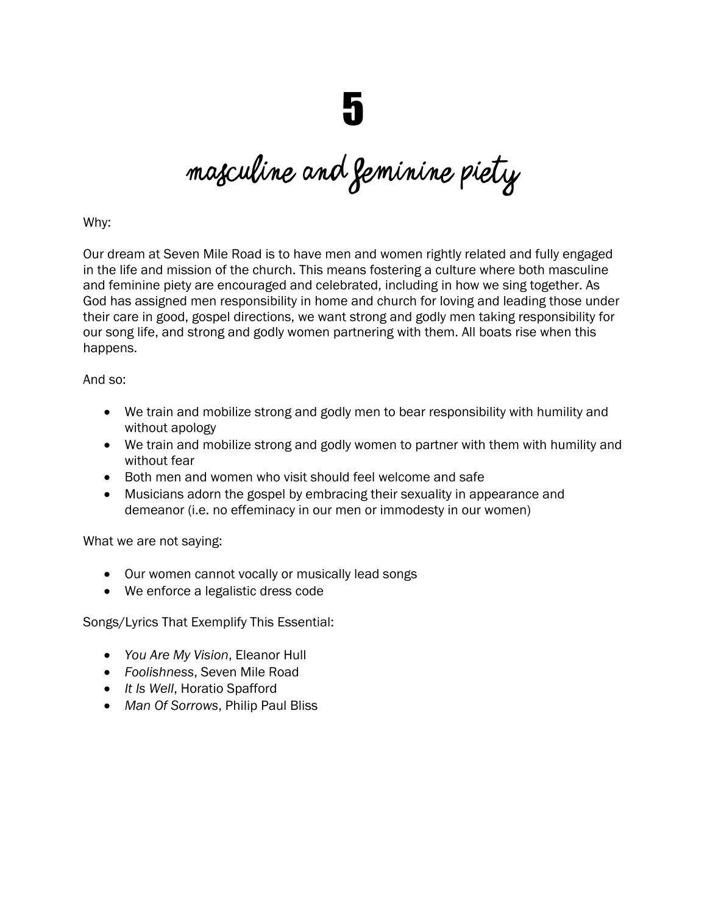Masculine and feminine piety

Why:

Our dream at Seven Mile Road is to have men and women rightly related and fully engaged in the life and mission of the church. This means fostering a culture where both masculine and feminine piety are encouraged and celebrated, including in how we sing together. As God has assigned men responsibility in home and church for loving and leading those under their care in good, gospel directions, we want strong and godly men taking responsibility for our song life, and strong and godly women partnering with them. All boats rise when this happens.

And so:

- We train and mobilize strong and godly men to bear responsibility with humility and without apology
- We train and mobilize strong and godly women to partner with them with humility and without fear
- Both men and women who visit should feel welcome and safe
- Musicians adorn the gospel by embracing their sexuality in appearance and demeanor (i.e. no effeminacy in our men or immodesty in our women)

What we are not saying:

- Our women cannot vocally or musically lead songs
- We enforce a legalistic dress code

- *You Are My Vision*, Eleanor Hull
- *Foolishness*, Seven Mile Road
- *It Is Well*, Horatio Spafford
- *Man Of Sorrows*, Philip Paul Bliss